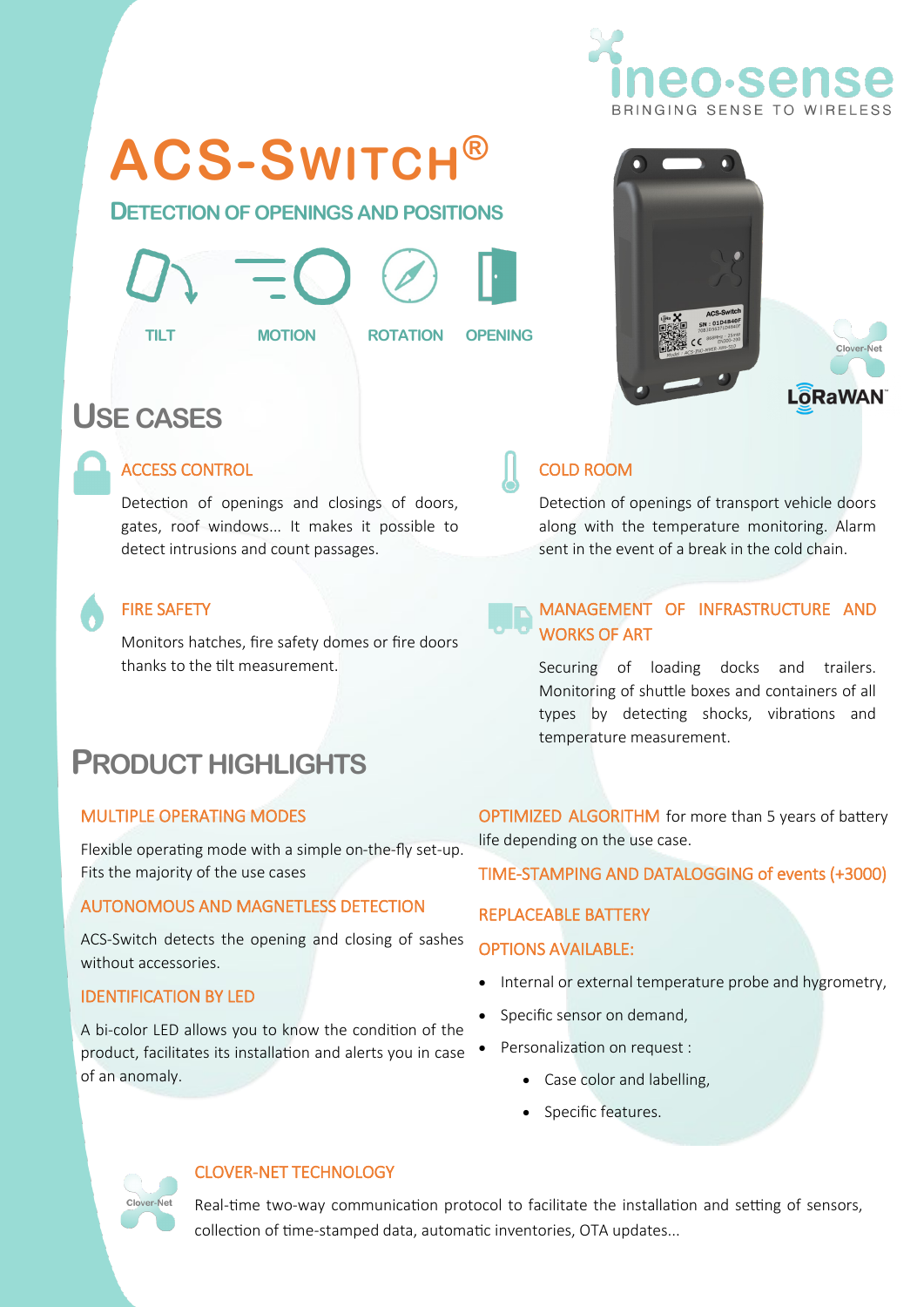

## **ACS-SWITCH®**

**DETECTION OF OPENINGS AND POSITIONS**





# Clover-Net **ORaWAN**

### **USE CASES**



#### ACCESS CONTROL

Detection of openings and closings of doors, gates, roof windows... It makes it possible to detect intrusions and count passages.

#### FIRE SAFETY

Monitors hatches, fire safety domes or fire doors thanks to the tilt measurement.

## **PRODUCT HIGHLIGHTS**

#### MULTIPLE OPERATING MODES

Flexible operating mode with a simple on-the-fly set-up. Fits the majority of the use cases

#### AUTONOMOUS AND MAGNETLESS DETECTION

ACS-Switch detects the opening and closing of sashes without accessories.

#### IDENTIFICATION BY LED

A bi-color LED allows you to know the condition of the product, facilitates its installation and alerts you in case of an anomaly.

#### COLD ROOM

Detection of openings of transport vehicle doors along with the temperature monitoring. Alarm sent in the event of a break in the cold chain.

#### MANAGEMENT OF INFRASTRUCTURE AND WORKS OF ART

Securing of loading docks and trailers. Monitoring of shuttle boxes and containers of all types by detecting shocks, vibrations and temperature measurement.

OPTIMIZED ALGORITHM for more than 5 years of battery life depending on the use case.

TIME-STAMPING AND DATALOGGING of events (+3000)

#### REPLACEABLE BATTERY

#### OPTIONS AVAILABLE:

- Internal or external temperature probe and hygrometry,
- Specific sensor on demand,
- Personalization on request :
	- Case color and labelling,
	- Specific features.

#### CLOVER-NET TECHNOLOGY

Real-time two-way communication protocol to facilitate the installation and setting of sensors, collection of time-stamped data, automatic inventories, OTA updates...